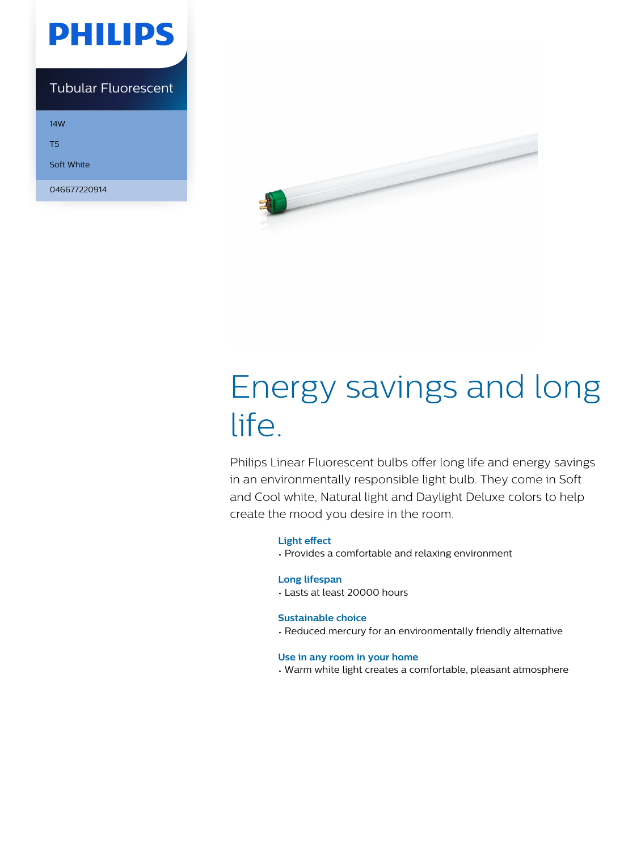

### Tubular Fluorescent

14W

T5

Soft White

046677220914



# Energy savings and long life.

Philips Linear Fluorescent bulbs offer long life and energy savings in an environmentally responsible light bulb. They come in Soft and Cool white, Natural light and Daylight Deluxe colors to help create the mood you desire in the room.

### **Light effect**

• Provides a comfortable and relaxing environment

### **Long lifespan**

• Lasts at least 20000 hours

### **Sustainable choice**

• Reduced mercury for an environmentally friendly alternative

#### **Use in any room in your home**

• Warm white light creates a comfortable, pleasant atmosphere